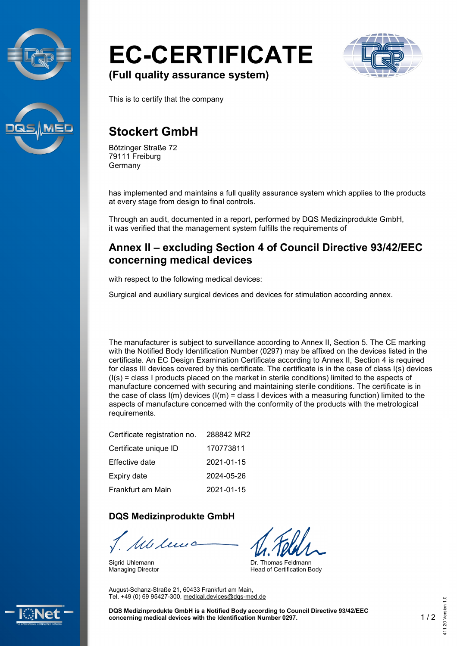



# **EC-CERTIFICATE**



**(Full quality assurance system)**

This is to certify that the company

## **Stockert GmbH**

Bötzinger Straße 72 79111 Freiburg Germany

has implemented and maintains a full quality assurance system which applies to the products at every stage from design to final controls.

Through an audit, documented in a report, performed by DQS Medizinprodukte GmbH, it was verified that the management system fulfills the requirements of

#### **Annex II – excluding Section 4 of Council Directive 93/42/EEC concerning medical devices**

with respect to the following medical devices:

Surgical and auxiliary surgical devices and devices for stimulation according annex.

The manufacturer is subject to surveillance according to Annex II, Section 5. The CE marking with the Notified Body Identification Number (0297) may be affixed on the devices listed in the certificate. An EC Design Examination Certificate according to Annex II, Section 4 is required for class III devices covered by this certificate. The certificate is in the case of class I(s) devices  $(I(s) = class I$  products placed on the market in sterile conditions) limited to the aspects of manufacture concerned with securing and maintaining sterile conditions. The certificate is in the case of class  $I(m)$  devices  $I(m) =$  class I devices with a measuring function) limited to the aspects of manufacture concerned with the conformity of the products with the metrological requirements.

| Certificate registration no. | 288842 MR2 |
|------------------------------|------------|
| Certificate unique ID        | 170773811  |
| Effective date               | 2021-01-15 |
| Expiry date                  | 2024-05-26 |
| Frankfurt am Main            | 2021-01-15 |

#### **DQS Medizinprodukte GmbH**

Mc lui

August-Schanz-Straße 21, 60433 Frankfurt am Main, Tel. +49 (0) 69 95427-300, [medical.devices@dqs-med.de](mailto:medical.devices@dqs-med.de)

Sigrid Uhlemann Managing Director

Dr. Thomas Feldmann Head of Certification Body

**DQS Medizinprodukte GmbH is a Notified Body according to Council Directive 93/42/EEC concerning medical devices with the Identification Number 0297.** 1 / 2 411.20 Version 1.0